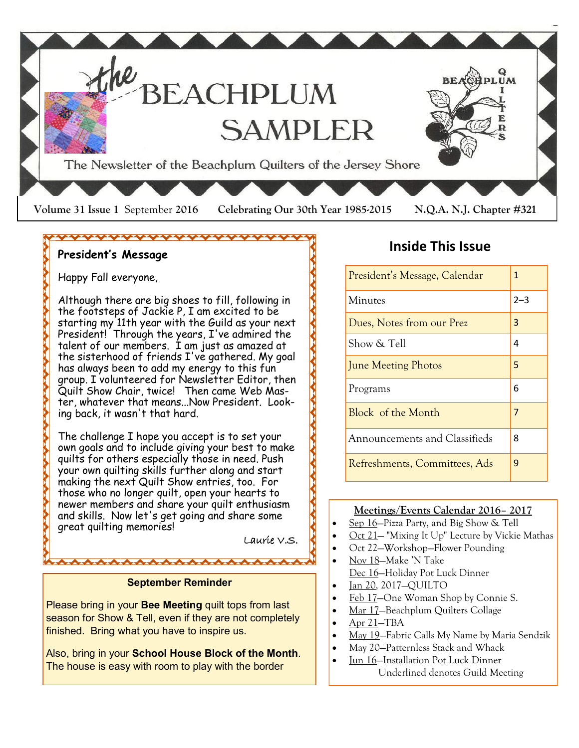

#### **President's Message**

Happy Fall everyone,

Although there are big shoes to fill, following in the footsteps of Jackie P, I am excited to be starting my 11th year with the Guild as your next President! Through the years, I've admired the talent of our members. I am just as amazed at the sisterhood of friends I've gathered. My goal has always been to add my energy to this fun group. I volunteered for Newsletter Editor, then Quilt Show Chair, twice! Then came Web Master, whatever that means...Now President. Looking back, it wasn't that hard.

The challenge I hope you accept is to set your own goals and to include giving your best to make quilts for others especially those in need. Push your own quilting skills further along and start making the next Quilt Show entries, too. For those who no longer quilt, open your hearts to newer members and share your quilt enthusiasm and skills. Now let's get going and share some great quilting memories!

#### Laurie V.S.

#### **September Reminder**

Please bring in your **Bee Meeting** quilt tops from last season for Show & Tell, even if they are not completely finished. Bring what you have to inspire us.

Also, bring in your **School House Block of the Month**. The house is easy with room to play with the border

## **Inside This Issue**

| President's Message, Calendar | 1       |
|-------------------------------|---------|
| Minutes                       | $2 - 3$ |
| Dues, Notes from our Prez     | 3       |
| Show & Tell                   | 4       |
| <b>June Meeting Photos</b>    | 5       |
| Programs                      | 6       |
| Block of the Month            | 7       |
| Announcements and Classifieds | 8       |
| Refreshments, Committees, Ads | 9       |

#### **Meetings/Events Calendar 2016– 2017**

- Sep 16—Pizza Party, and Big Show & Tell
- Oct 21— "Mixing It Up" Lecture by Vickie Mathas
- Oct 22—Workshop—Flower Pounding
- Nov 18—Make 'N Take Dec 16—Holiday Pot Luck Dinner
- Jan 20, 2017—QUILTO
- Feb 17—One Woman Shop by Connie S.
- Mar 17—Beachplum Quilters Collage
- Apr 21—TBA
- May 19—Fabric Calls My Name by Maria Sendzik
- May 20—Patternless Stack and Whack
- Jun 16—Installation Pot Luck Dinner Underlined denotes Guild Meeting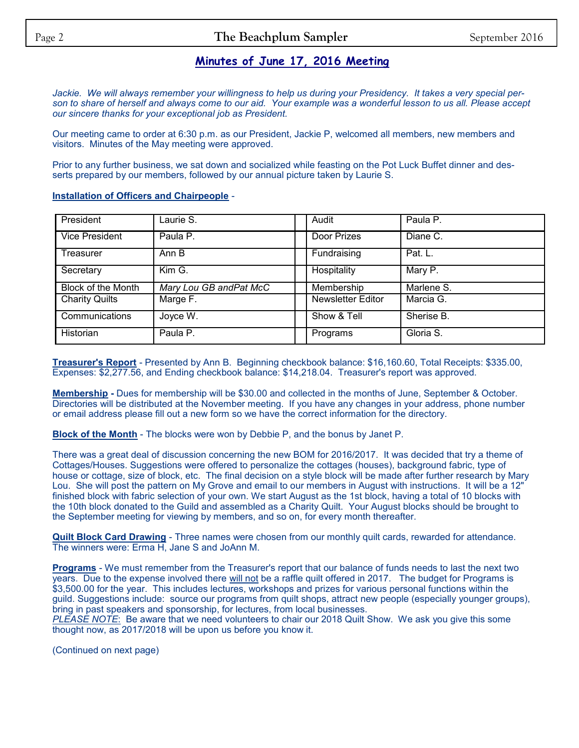## **Minutes of June 17, 2016 Meeting**

*Jackie. We will always remember your willingness to help us during your Presidency. It takes a very special person to share of herself and always come to our aid. Your example was a wonderful lesson to us all. Please accept our sincere thanks for your exceptional job as President.* 

Our meeting came to order at 6:30 p.m. as our President, Jackie P, welcomed all members, new members and visitors. Minutes of the May meeting were approved.

Prior to any further business, we sat down and socialized while feasting on the Pot Luck Buffet dinner and desserts prepared by our members, followed by our annual picture taken by Laurie S.

**Installation of Officers and Chairpeople** -

| President                 | Laurie S.              | Audit             | Paula P.   |
|---------------------------|------------------------|-------------------|------------|
| <b>Vice President</b>     | Paula P.               | Door Prizes       | Diane C.   |
| Treasurer                 | Ann B                  | Fundraising       | Pat. L.    |
| Secretary                 | Kim G.                 | Hospitality       | Mary P.    |
| <b>Block of the Month</b> | Mary Lou GB andPat McC | Membership        | Marlene S. |
| <b>Charity Quilts</b>     | Marge F.               | Newsletter Editor | Marcia G.  |
| Communications            | Joyce W.               | Show & Tell       | Sherise B. |
| <b>Historian</b>          | Paula P.               | Programs          | Gloria S.  |

**Treasurer's Report** - Presented by Ann B. Beginning checkbook balance: \$16,160.60, Total Receipts: \$335.00, Expenses: \$2,277.56, and Ending checkbook balance: \$14,218.04. Treasurer's report was approved.

**Membership -** Dues for membership will be \$30.00 and collected in the months of June, September & October. Directories will be distributed at the November meeting. If you have any changes in your address, phone number or email address please fill out a new form so we have the correct information for the directory.

**Block of the Month** - The blocks were won by Debbie P, and the bonus by Janet P.

There was a great deal of discussion concerning the new BOM for 2016/2017. It was decided that try a theme of Cottages/Houses. Suggestions were offered to personalize the cottages (houses), background fabric, type of house or cottage, size of block, etc. The final decision on a style block will be made after further research by Mary Lou. She will post the pattern on My Grove and email to our members in August with instructions. It will be a 12" finished block with fabric selection of your own. We start August as the 1st block, having a total of 10 blocks with the 10th block donated to the Guild and assembled as a Charity Quilt. Your August blocks should be brought to the September meeting for viewing by members, and so on, for every month thereafter.

**Quilt Block Card Drawing** - Three names were chosen from our monthly quilt cards, rewarded for attendance. The winners were: Erma H, Jane S and JoAnn M.

**Programs** - We must remember from the Treasurer's report that our balance of funds needs to last the next two years. Due to the expense involved there will not be a raffle quilt offered in 2017. The budget for Programs is \$3,500.00 for the year. This includes lectures, workshops and prizes for various personal functions within the guild. Suggestions include: source our programs from quilt shops, attract new people (especially younger groups), bring in past speakers and sponsorship, for lectures, from local businesses.

*PLEASE NOTE*: Be aware that we need volunteers to chair our 2018 Quilt Show. We ask you give this some thought now, as 2017/2018 will be upon us before you know it.

(Continued on next page)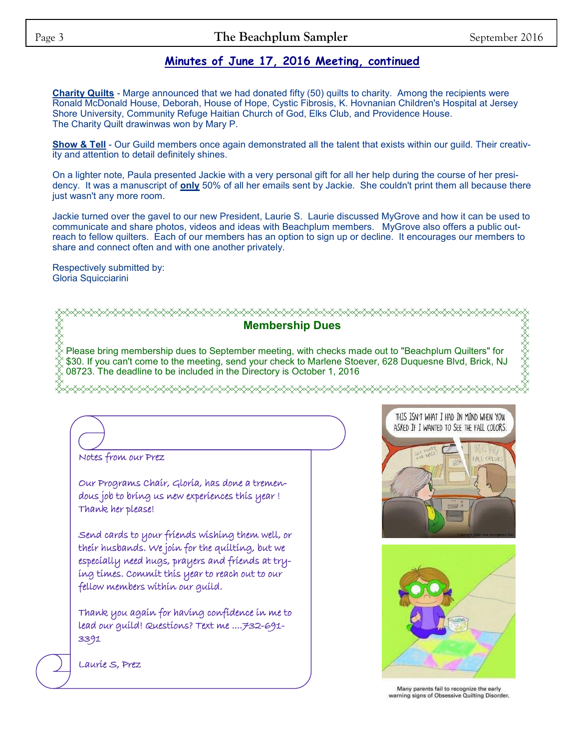### **Minutes of June 17, 2016 Meeting, continued**

**Charity Quilts** - Marge announced that we had donated fifty (50) quilts to charity. Among the recipients were Ronald McDonald House, Deborah, House of Hope, Cystic Fibrosis, K. Hovnanian Children's Hospital at Jersey Shore University, Community Refuge Haitian Church of God, Elks Club, and Providence House. The Charity Quilt drawinwas won by Mary P.

**Show & Tell** - Our Guild members once again demonstrated all the talent that exists within our guild. Their creativity and attention to detail definitely shines.

On a lighter note, Paula presented Jackie with a very personal gift for all her help during the course of her presidency. It was a manuscript of **only** 50% of all her emails sent by Jackie. She couldn't print them all because there just wasn't any more room.

Jackie turned over the gavel to our new President, Laurie S. Laurie discussed MyGrove and how it can be used to communicate and share photos, videos and ideas with Beachplum members. MyGrove also offers a public outreach to fellow quilters. Each of our members has an option to sign up or decline. It encourages our members to share and connect often and with one another privately.

Respectively submitted by: Gloria Squicciarini



Many parents fail to recognize the early warning signs of Obsessive Quilting Disorder.

Laurie S, Prez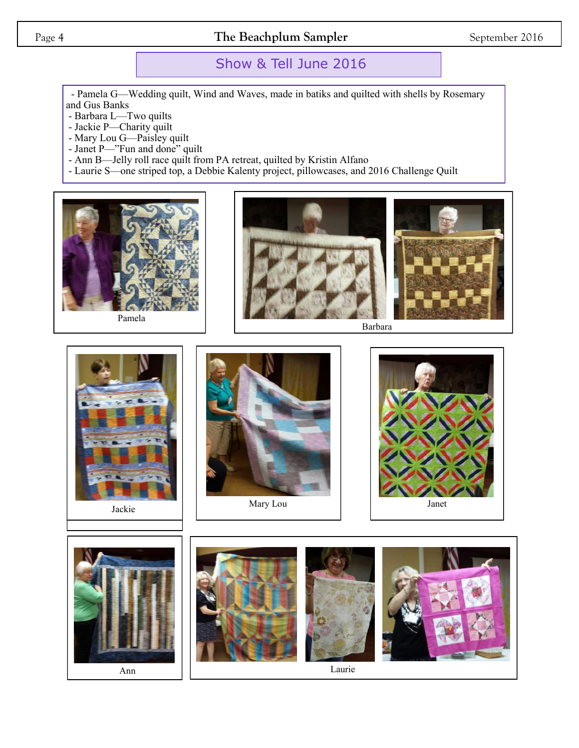### Page 4 **The Beachplum Sampler** September 2016

## Show & Tell June 2016

 - Pamela G—Wedding quilt, Wind and Waves, made in batiks and quilted with shells by Rosemary and Gus Banks

- Barbara L—Two quilts
- Jackie P—Charity quilt
- Mary Lou G—Paisley quilt
- Janet P-"Fun and done" quilt
- Ann B—Jelly roll race quilt from PA retreat, quilted by Kristin Alfano
- Laurie S—one striped top, a Debbie Kalenty project, pillowcases, and 2016 Challenge Quilt





Barbara







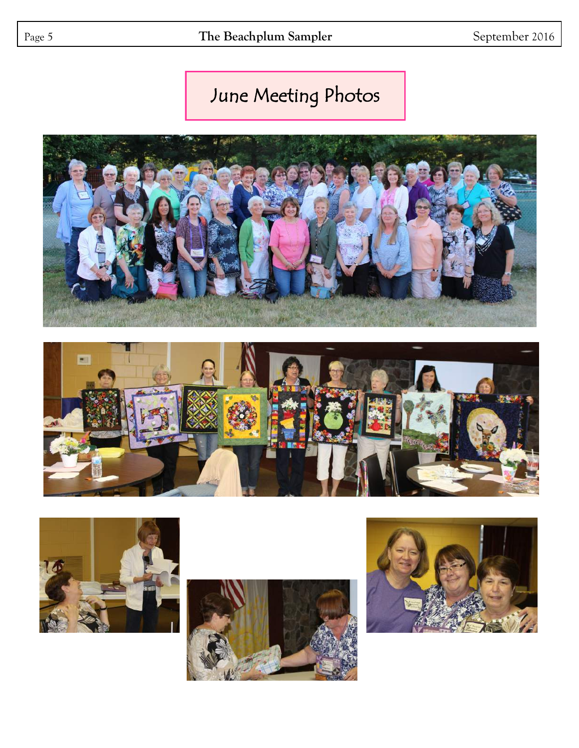# June Meeting Photos









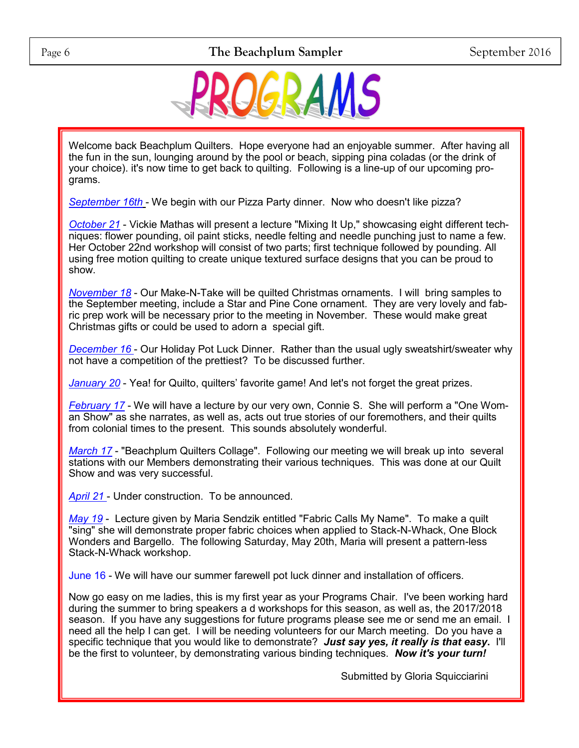

Welcome back Beachplum Quilters. Hope everyone had an enjoyable summer. After having all the fun in the sun, lounging around by the pool or beach, sipping pina coladas (or the drink of your choice). it's now time to get back to quilting. Following is a line-up of our upcoming programs.

*September 16th* - We begin with our Pizza Party dinner. Now who doesn't like pizza?

*October 21* - Vickie Mathas will present a lecture "Mixing It Up," showcasing eight different techniques: flower pounding, oil paint sticks, needle felting and needle punching just to name a few. Her October 22nd workshop will consist of two parts; first technique followed by pounding. All using free motion quilting to create unique textured surface designs that you can be proud to show.

*November 18* - Our Make-N-Take will be quilted Christmas ornaments. I will bring samples to the September meeting, include a Star and Pine Cone ornament. They are very lovely and fabric prep work will be necessary prior to the meeting in November. These would make great Christmas gifts or could be used to adorn a special gift.

*December 16* - Our Holiday Pot Luck Dinner. Rather than the usual ugly sweatshirt/sweater why not have a competition of the prettiest? To be discussed further.

*January 20* - Yea! for Quilto, quilters' favorite game! And let's not forget the great prizes.

*February 17* - We will have a lecture by our very own, Connie S. She will perform a "One Woman Show" as she narrates, as well as, acts out true stories of our foremothers, and their quilts from colonial times to the present. This sounds absolutely wonderful.

*March 17* - "Beachplum Quilters Collage". Following our meeting we will break up into several stations with our Members demonstrating their various techniques. This was done at our Quilt Show and was very successful.

*April 21* - Under construction. To be announced.

*May 19* - Lecture given by Maria Sendzik entitled "Fabric Calls My Name". To make a quilt "sing" she will demonstrate proper fabric choices when applied to Stack-N-Whack, One Block Wonders and Bargello. The following Saturday, May 20th, Maria will present a pattern-less Stack-N-Whack workshop.

June 16 - We will have our summer farewell pot luck dinner and installation of officers.

Now go easy on me ladies, this is my first year as your Programs Chair. I've been working hard during the summer to bring speakers a d workshops for this season, as well as, the 2017/2018 season. If you have any suggestions for future programs please see me or send me an email. need all the help I can get. I will be needing volunteers for our March meeting. Do you have a specific technique that you would like to demonstrate? *Just say yes, it really is that easy***.** I'll be the first to volunteer, by demonstrating various binding techniques. *Now it's your turn!* 

Submitted by Gloria Squicciarini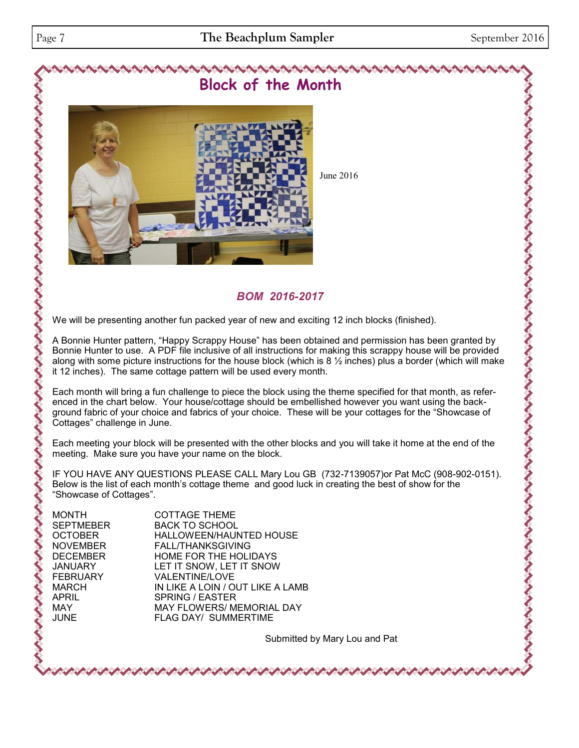アイ・フィング アイ・フィング アイ・フィング

## しんへんへんへん **Block of the Month**



June 2016

## *BOM 2016-2017*

We will be presenting another fun packed year of new and exciting 12 inch blocks (finished).

A Bonnie Hunter pattern, "Happy Scrappy House" has been obtained and permission has been granted by Bonnie Hunter to use. A PDF file inclusive of all instructions for making this scrappy house will be provided along with some picture instructions for the house block (which is  $8\frac{1}{2}$  inches) plus a border (which will make it 12 inches). The same cottage pattern will be used every month.

Each month will bring a fun challenge to piece the block using the theme specified for that month, as referenced in the chart below. Your house/cottage should be embellished however you want using the background fabric of your choice and fabrics of your choice. These will be your cottages for the "Showcase of Cottages" challenge in June.

Each meeting your block will be presented with the other blocks and you will take it home at the end of the meeting. Make sure you have your name on the block.

IF YOU HAVE ANY QUESTIONS PLEASE CALL Mary Lou GB (732-7139057)or Pat McC (908-902-0151). Below is the list of each month's cottage theme and good luck in creating the best of show for the "Showcase of Cottages".

MONTH COTTAGE THEME<br>SEPTMEBER BACK TO SCHOOL **BACK TO SCHOOL** OCTOBER HALLOWEEN/HAUNTED HOUSE NOVEMBER FALL/THANKSGIVING DECEMBER HOME FOR THE HOLIDAYS LET IT SNOW, LET IT SNOW FEBRUARY VALENTINE/LOVE MARCH IN LIKE A LOIN / OUT LIKE A LAMB SPRING / EASTER MAY MAY FLOWERS/ MEMORIAL DAY JUNE FLAG DAY/ SUMMERTIME

けいけいけいけいけいけいけいけい

Submitted by Mary Lou and Pat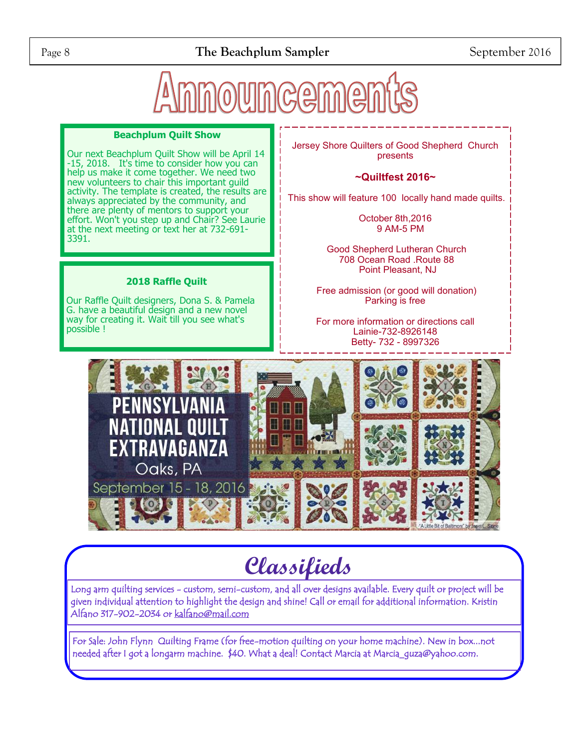

#### **Beachplum Quilt Show**

Our next Beachplum Quilt Show will be April 14 -15, 2018. It's time to consider how you can help us make it come together. We need two new volunteers to chair this important guild activity. The template is created, the results are always appreciated by the community, and there are plenty of mentors to support your effort. Won't you step up and Chair? See Laurie at the next meeting or text her at 732-691- 3391.

#### **2018 Raffle Quilt**

Our Raffle Quilt designers, Dona S. & Pamela G. have a beautiful design and a new novel way for creating it. Wait till you see what's possible !

Jersey Shore Quilters of Good Shepherd Church presents

#### **~Quiltfest 2016~**

This show will feature 100 locally hand made quilts.

October 8th,2016 9 AM-5 PM

Good Shepherd Lutheran Church 708 Ocean Road .Route 88 Point Pleasant, NJ

Free admission (or good will donation) Parking is free

For more information or directions call Lainie-732-8926148 Betty- 732 - 8997326



## **Classifieds**

Long arm quilting services - custom, semi-custom, and all over designs available. Every quilt or project will be given individual attention to highlight the design and shine! Call or email for additional information. Kristin Alfano 317-902-2034 or [kalfano@mail.com](mailto:kalfano@mail.com) 

For Sale: John Flynn Quilting Frame (for free-motion quilting on your home machine). New in box...not needed after I got a longarm machine. \$40. What a deal! Contact Marcia at Marcia\_guza@yahoo.com.